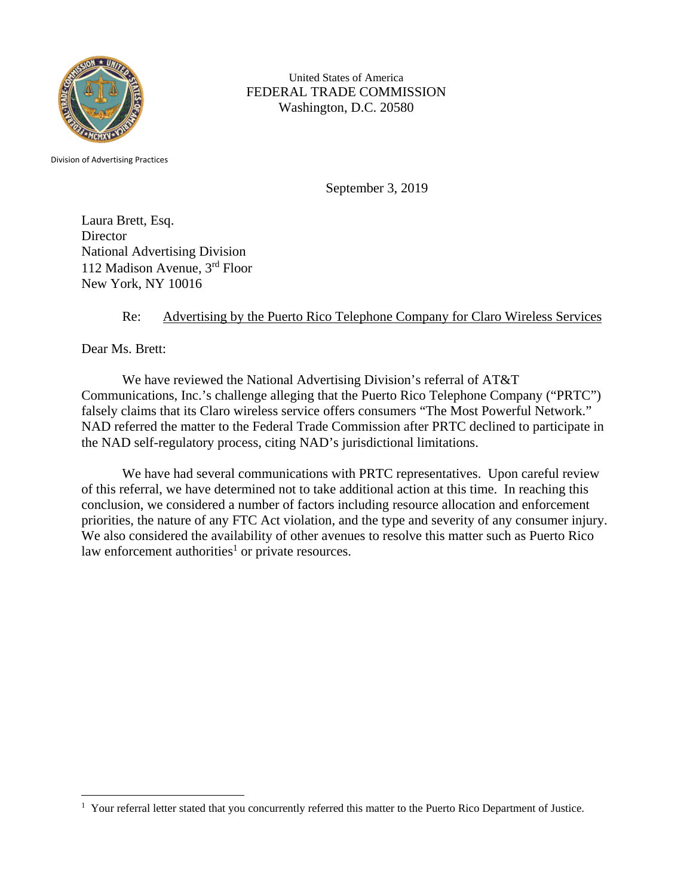

United States of America FEDERAL TRADE COMMISSION Washington, D.C. 20580

Division of Advertising Practices

September 3, 2019

Laura Brett, Esq. **Director** National Advertising Division 112 Madison Avenue, 3rd Floor New York, NY 10016

## Re: Advertising by the Puerto Rico Telephone Company for Claro Wireless Services

Dear Ms. Brett:

We have reviewed the National Advertising Division's referral of AT&T Communications, Inc.'s challenge alleging that the Puerto Rico Telephone Company ("PRTC") falsely claims that its Claro wireless service offers consumers "The Most Powerful Network." NAD referred the matter to the Federal Trade Commission after PRTC declined to participate in the NAD self-regulatory process, citing NAD's jurisdictional limitations.

We have had several communications with PRTC representatives. Upon careful review of this referral, we have determined not to take additional action at this time. In reaching this conclusion, we considered a number of factors including resource allocation and enforcement priorities, the nature of any FTC Act violation, and the type and severity of any consumer injury. We also considered the availability of other avenues to resolve this matter such as Puerto Rico law enforcement authorities<sup>1</sup> or private resources.

<sup>&</sup>lt;sup>1</sup> Your referral letter stated that you concurrently referred this matter to the Puerto Rico Department of Justice.